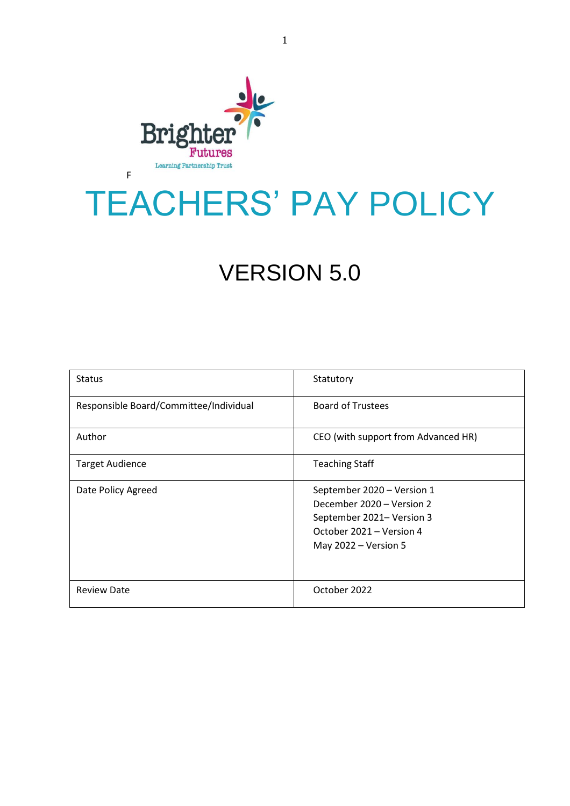

# TEACHERS' PAY POLICY

## VERSION 5.0

| <b>Status</b>                          | Statutory                                                                                                                                |
|----------------------------------------|------------------------------------------------------------------------------------------------------------------------------------------|
| Responsible Board/Committee/Individual | <b>Board of Trustees</b>                                                                                                                 |
| Author                                 | CEO (with support from Advanced HR)                                                                                                      |
| <b>Target Audience</b>                 | <b>Teaching Staff</b>                                                                                                                    |
| Date Policy Agreed                     | September 2020 - Version 1<br>December 2020 - Version 2<br>September 2021- Version 3<br>October 2021 - Version 4<br>May 2022 - Version 5 |
| <b>Review Date</b>                     | October 2022                                                                                                                             |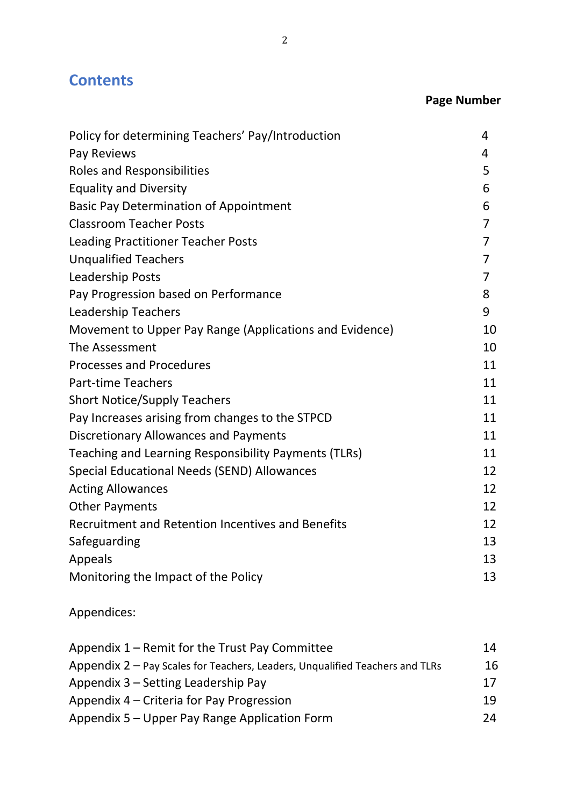## **Contents**

## **Page Number**

| Policy for determining Teachers' Pay/Introduction       | 4              |
|---------------------------------------------------------|----------------|
| Pay Reviews                                             | 4              |
| <b>Roles and Responsibilities</b>                       | 5              |
| <b>Equality and Diversity</b>                           | 6              |
| <b>Basic Pay Determination of Appointment</b>           | 6              |
| <b>Classroom Teacher Posts</b>                          | $\overline{7}$ |
| <b>Leading Practitioner Teacher Posts</b>               | $\overline{7}$ |
| <b>Unqualified Teachers</b>                             | $\overline{7}$ |
| Leadership Posts                                        | $\overline{7}$ |
| Pay Progression based on Performance                    | 8              |
| <b>Leadership Teachers</b>                              | 9              |
| Movement to Upper Pay Range (Applications and Evidence) | 10             |
| The Assessment                                          | 10             |
| <b>Processes and Procedures</b>                         | 11             |
| <b>Part-time Teachers</b>                               | 11             |
| <b>Short Notice/Supply Teachers</b>                     | 11             |
| Pay Increases arising from changes to the STPCD         | 11             |
| <b>Discretionary Allowances and Payments</b>            | 11             |
| Teaching and Learning Responsibility Payments (TLRs)    | 11             |
| Special Educational Needs (SEND) Allowances             | 12             |
| <b>Acting Allowances</b>                                | 12             |
| <b>Other Payments</b>                                   | 12             |
| Recruitment and Retention Incentives and Benefits       | 12             |
| Safeguarding                                            | 13             |
| Appeals                                                 | 13             |
| Monitoring the Impact of the Policy                     | 13             |
|                                                         |                |

Appendices:

| Appendix 1 – Remit for the Trust Pay Committee                               | 14 |
|------------------------------------------------------------------------------|----|
| Appendix 2 – Pay Scales for Teachers, Leaders, Unqualified Teachers and TLRs | 16 |
| Appendix 3 – Setting Leadership Pay                                          | 17 |
| Appendix 4 – Criteria for Pay Progression                                    | 19 |
| Appendix 5 – Upper Pay Range Application Form                                | 24 |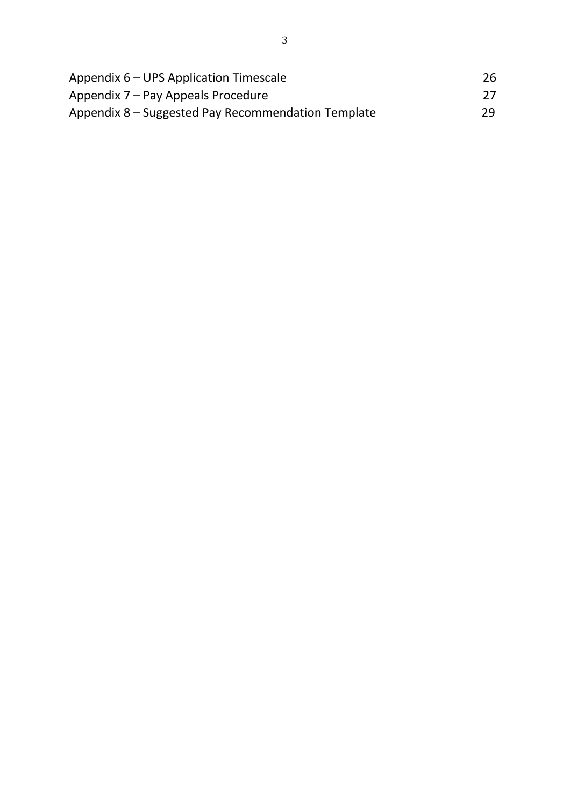| Appendix 6 – UPS Application Timescale             | 26 |
|----------------------------------------------------|----|
| Appendix 7 – Pay Appeals Procedure                 | 27 |
| Appendix 8 – Suggested Pay Recommendation Template | 29 |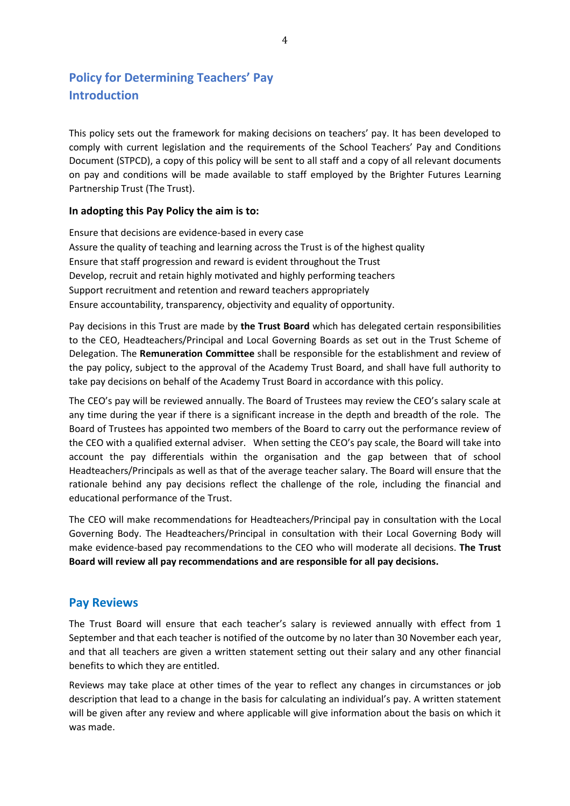## **Policy for Determining Teachers' Pay Introduction**

This policy sets out the framework for making decisions on teachers' pay. It has been developed to comply with current legislation and the requirements of the School Teachers' Pay and Conditions Document (STPCD), a copy of this policy will be sent to all staff and a copy of all relevant documents on pay and conditions will be made available to staff employed by the Brighter Futures Learning Partnership Trust (The Trust).

#### **In adopting this Pay Policy the aim is to:**

Ensure that decisions are evidence-based in every case Assure the quality of teaching and learning across the Trust is of the highest quality Ensure that staff progression and reward is evident throughout the Trust Develop, recruit and retain highly motivated and highly performing teachers Support recruitment and retention and reward teachers appropriately Ensure accountability, transparency, objectivity and equality of opportunity.

Pay decisions in this Trust are made by **the Trust Board** which has delegated certain responsibilities to the CEO, Headteachers/Principal and Local Governing Boards as set out in the Trust Scheme of Delegation. The **Remuneration Committee** shall be responsible for the establishment and review of the pay policy, subject to the approval of the Academy Trust Board, and shall have full authority to take pay decisions on behalf of the Academy Trust Board in accordance with this policy.

The CEO's pay will be reviewed annually. The Board of Trustees may review the CEO's salary scale at any time during the year if there is a significant increase in the depth and breadth of the role. The Board of Trustees has appointed two members of the Board to carry out the performance review of the CEO with a qualified external adviser. When setting the CEO's pay scale, the Board will take into account the pay differentials within the organisation and the gap between that of school Headteachers/Principals as well as that of the average teacher salary. The Board will ensure that the rationale behind any pay decisions reflect the challenge of the role, including the financial and educational performance of the Trust.

The CEO will make recommendations for Headteachers/Principal pay in consultation with the Local Governing Body. The Headteachers/Principal in consultation with their Local Governing Body will make evidence-based pay recommendations to the CEO who will moderate all decisions. **The Trust Board will review all pay recommendations and are responsible for all pay decisions.**

#### **Pay Reviews**

The Trust Board will ensure that each teacher's salary is reviewed annually with effect from 1 September and that each teacher is notified of the outcome by no later than 30 November each year, and that all teachers are given a written statement setting out their salary and any other financial benefits to which they are entitled.

Reviews may take place at other times of the year to reflect any changes in circumstances or job description that lead to a change in the basis for calculating an individual's pay. A written statement will be given after any review and where applicable will give information about the basis on which it was made.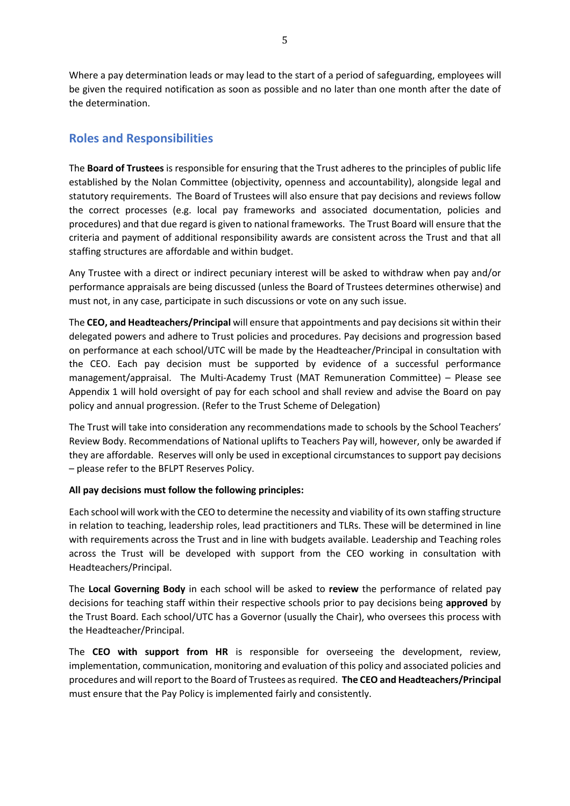Where a pay determination leads or may lead to the start of a period of safeguarding, employees will be given the required notification as soon as possible and no later than one month after the date of the determination.

## **Roles and Responsibilities**

The **Board of Trustees** is responsible for ensuring that the Trust adheres to the principles of public life established by the Nolan Committee (objectivity, openness and accountability), alongside legal and statutory requirements. The Board of Trustees will also ensure that pay decisions and reviews follow the correct processes (e.g. local pay frameworks and associated documentation, policies and procedures) and that due regard is given to national frameworks. The Trust Board will ensure that the criteria and payment of additional responsibility awards are consistent across the Trust and that all staffing structures are affordable and within budget.

Any Trustee with a direct or indirect pecuniary interest will be asked to withdraw when pay and/or performance appraisals are being discussed (unless the Board of Trustees determines otherwise) and must not, in any case, participate in such discussions or vote on any such issue.

The **CEO, and Headteachers/Principal** will ensure that appointments and pay decisions sit within their delegated powers and adhere to Trust policies and procedures. Pay decisions and progression based on performance at each school/UTC will be made by the Headteacher/Principal in consultation with the CEO. Each pay decision must be supported by evidence of a successful performance management/appraisal. The Multi-Academy Trust (MAT Remuneration Committee) – Please see Appendix 1 will hold oversight of pay for each school and shall review and advise the Board on pay policy and annual progression. (Refer to the Trust Scheme of Delegation)

The Trust will take into consideration any recommendations made to schools by the School Teachers' Review Body. Recommendations of National uplifts to Teachers Pay will, however, only be awarded if they are affordable. Reserves will only be used in exceptional circumstances to support pay decisions – please refer to the BFLPT Reserves Policy.

#### **All pay decisions must follow the following principles:**

Each school will work with the CEO to determine the necessity and viability of its own staffing structure in relation to teaching, leadership roles, lead practitioners and TLRs. These will be determined in line with requirements across the Trust and in line with budgets available. Leadership and Teaching roles across the Trust will be developed with support from the CEO working in consultation with Headteachers/Principal.

The **Local Governing Body** in each school will be asked to **review** the performance of related pay decisions for teaching staff within their respective schools prior to pay decisions being **approved** by the Trust Board. Each school/UTC has a Governor (usually the Chair), who oversees this process with the Headteacher/Principal.

The **CEO with support from HR** is responsible for overseeing the development, review, implementation, communication, monitoring and evaluation of this policy and associated policies and procedures and will report to the Board of Trustees as required. **The CEO and Headteachers/Principal** must ensure that the Pay Policy is implemented fairly and consistently.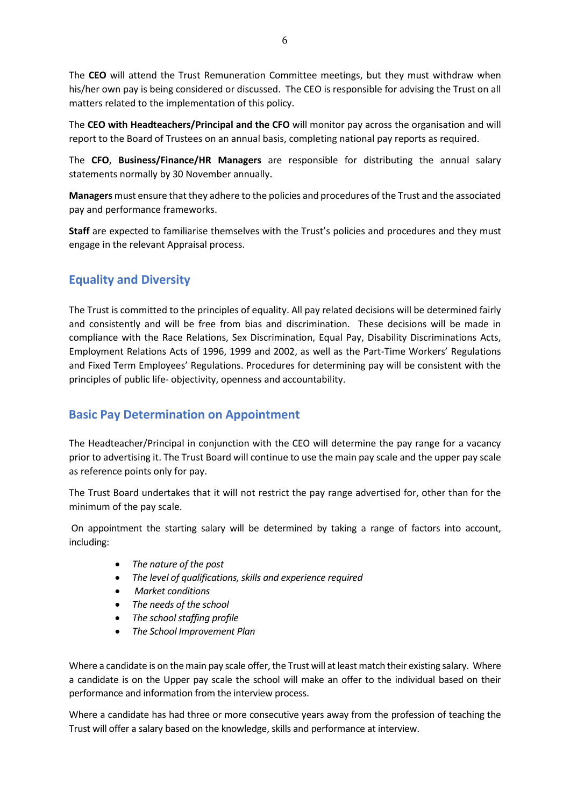The **CEO** will attend the Trust Remuneration Committee meetings, but they must withdraw when his/her own pay is being considered or discussed. The CEO is responsible for advising the Trust on all matters related to the implementation of this policy.

The **CEO with Headteachers/Principal and the CFO** will monitor pay across the organisation and will report to the Board of Trustees on an annual basis, completing national pay reports as required.

The **CFO**, **Business/Finance/HR Managers** are responsible for distributing the annual salary statements normally by 30 November annually.

**Managers** must ensure that they adhere to the policies and procedures of the Trust and the associated pay and performance frameworks.

**Staff** are expected to familiarise themselves with the Trust's policies and procedures and they must engage in the relevant Appraisal process.

## **Equality and Diversity**

The Trust is committed to the principles of equality. All pay related decisions will be determined fairly and consistently and will be free from bias and discrimination. These decisions will be made in compliance with the Race Relations, Sex Discrimination, Equal Pay, Disability Discriminations Acts, Employment Relations Acts of 1996, 1999 and 2002, as well as the Part-Time Workers' Regulations and Fixed Term Employees' Regulations. Procedures for determining pay will be consistent with the principles of public life- objectivity, openness and accountability.

## **Basic Pay Determination on Appointment**

The Headteacher/Principal in conjunction with the CEO will determine the pay range for a vacancy prior to advertising it. The Trust Board will continue to use the main pay scale and the upper pay scale as reference points only for pay.

The Trust Board undertakes that it will not restrict the pay range advertised for, other than for the minimum of the pay scale.

On appointment the starting salary will be determined by taking a range of factors into account, including:

- *The nature of the post*
- *The level of qualifications, skills and experience required*
- *Market conditions*
- *The needs of the school*
- *The school staffing profile*
- *The School Improvement Plan*

Where a candidate is on the main pay scale offer, the Trust will at least match their existing salary. Where a candidate is on the Upper pay scale the school will make an offer to the individual based on their performance and information from the interview process.

Where a candidate has had three or more consecutive years away from the profession of teaching the Trust will offer a salary based on the knowledge, skills and performance at interview.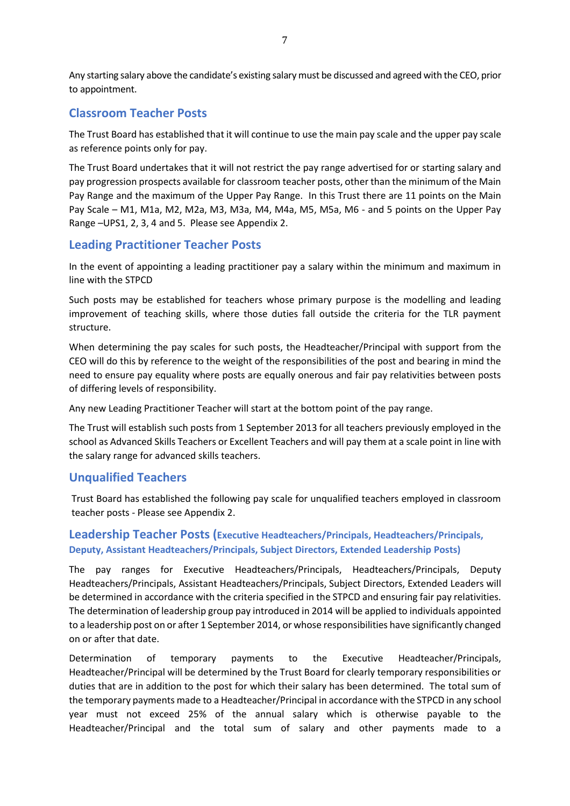Any starting salary above the candidate's existing salary must be discussed and agreed with the CEO, prior to appointment.

#### **Classroom Teacher Posts**

The Trust Board has established that it will continue to use the main pay scale and the upper pay scale as reference points only for pay.

The Trust Board undertakes that it will not restrict the pay range advertised for or starting salary and pay progression prospects available for classroom teacher posts, other than the minimum of the Main Pay Range and the maximum of the Upper Pay Range. In this Trust there are 11 points on the Main Pay Scale – M1, M1a, M2, M2a, M3, M3a, M4, M4a, M5, M5a, M6 - and 5 points on the Upper Pay Range –UPS1, 2, 3, 4 and 5. Please see Appendix 2.

#### **Leading Practitioner Teacher Posts**

In the event of appointing a leading practitioner pay a salary within the minimum and maximum in line with the STPCD

Such posts may be established for teachers whose primary purpose is the modelling and leading improvement of teaching skills, where those duties fall outside the criteria for the TLR payment structure.

When determining the pay scales for such posts, the Headteacher/Principal with support from the CEO will do this by reference to the weight of the responsibilities of the post and bearing in mind the need to ensure pay equality where posts are equally onerous and fair pay relativities between posts of differing levels of responsibility.

Any new Leading Practitioner Teacher will start at the bottom point of the pay range.

The Trust will establish such posts from 1 September 2013 for all teachers previously employed in the school as Advanced Skills Teachers or Excellent Teachers and will pay them at a scale point in line with the salary range for advanced skills teachers.

#### **Unqualified Teachers**

Trust Board has established the following pay scale for unqualified teachers employed in classroom teacher posts - Please see Appendix 2.

#### **Leadership Teacher Posts (Executive Headteachers/Principals, Headteachers/Principals, Deputy, Assistant Headteachers/Principals, Subject Directors, Extended Leadership Posts)**

The pay ranges for Executive Headteachers/Principals, Headteachers/Principals, Deputy Headteachers/Principals, Assistant Headteachers/Principals, Subject Directors, Extended Leaders will be determined in accordance with the criteria specified in the STPCD and ensuring fair pay relativities. The determination of leadership group pay introduced in 2014 will be applied to individuals appointed to a leadership post on or after 1 September 2014, or whose responsibilities have significantly changed on or after that date.

Determination of temporary payments to the Executive Headteacher/Principals, Headteacher/Principal will be determined by the Trust Board for clearly temporary responsibilities or duties that are in addition to the post for which their salary has been determined. The total sum of the temporary payments made to a Headteacher/Principal in accordance with the STPCD in any school year must not exceed 25% of the annual salary which is otherwise payable to the Headteacher/Principal and the total sum of salary and other payments made to a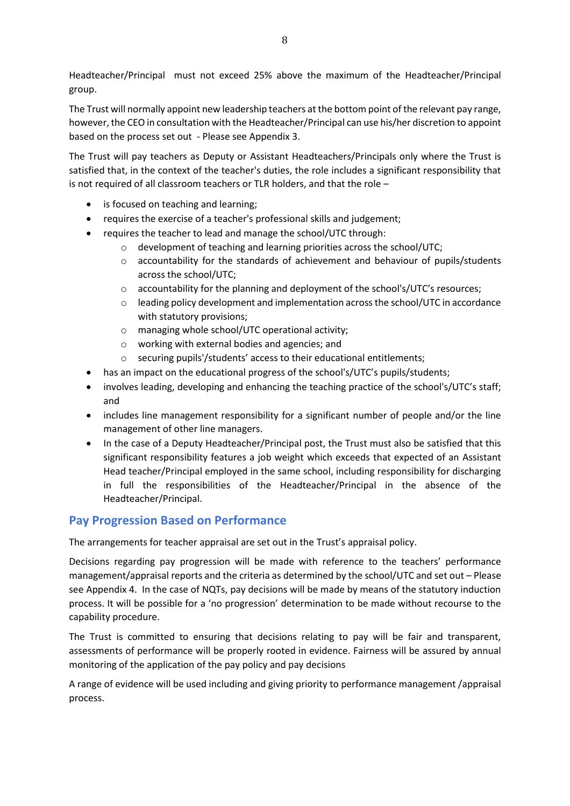Headteacher/Principal must not exceed 25% above the maximum of the Headteacher/Principal group.

The Trust will normally appoint new leadership teachers at the bottom point of the relevant pay range, however, the CEO in consultation with the Headteacher/Principal can use his/her discretion to appoint based on the process set out - Please see Appendix 3.

The Trust will pay teachers as Deputy or Assistant Headteachers/Principals only where the Trust is satisfied that, in the context of the teacher's duties, the role includes a significant responsibility that is not required of all classroom teachers or TLR holders, and that the role –

- is focused on teaching and learning;
- requires the exercise of a teacher's professional skills and judgement;
- requires the teacher to lead and manage the school/UTC through:
	- o development of teaching and learning priorities across the school/UTC;
	- o accountability for the standards of achievement and behaviour of pupils/students across the school/UTC;
	- o accountability for the planning and deployment of the school's/UTC's resources;
	- $\circ$  leading policy development and implementation across the school/UTC in accordance with statutory provisions;
	- o managing whole school/UTC operational activity;
	- o working with external bodies and agencies; and
	- o securing pupils'/students' access to their educational entitlements;
- has an impact on the educational progress of the school's/UTC's pupils/students;
- involves leading, developing and enhancing the teaching practice of the school's/UTC's staff; and
- includes line management responsibility for a significant number of people and/or the line management of other line managers.
- In the case of a Deputy Headteacher/Principal post, the Trust must also be satisfied that this significant responsibility features a job weight which exceeds that expected of an Assistant Head teacher/Principal employed in the same school, including responsibility for discharging in full the responsibilities of the Headteacher/Principal in the absence of the Headteacher/Principal.

## **Pay Progression Based on Performance**

The arrangements for teacher appraisal are set out in the Trust's appraisal policy.

Decisions regarding pay progression will be made with reference to the teachers' performance management/appraisal reports and the criteria as determined by the school/UTC and set out – Please see Appendix 4. In the case of NQTs, pay decisions will be made by means of the statutory induction process. It will be possible for a 'no progression' determination to be made without recourse to the capability procedure.

The Trust is committed to ensuring that decisions relating to pay will be fair and transparent, assessments of performance will be properly rooted in evidence. Fairness will be assured by annual monitoring of the application of the pay policy and pay decisions

A range of evidence will be used including and giving priority to performance management /appraisal process.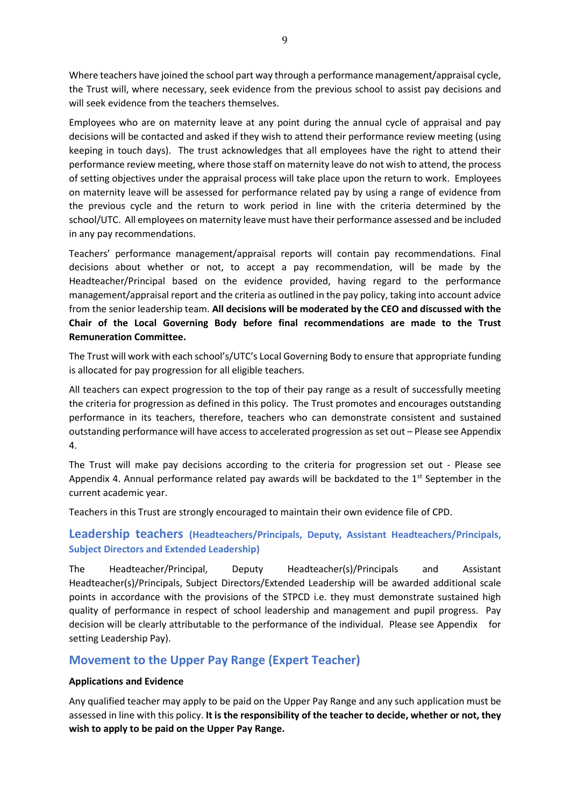Where teachers have joined the school part way through a performance management/appraisal cycle, the Trust will, where necessary, seek evidence from the previous school to assist pay decisions and will seek evidence from the teachers themselves.

Employees who are on maternity leave at any point during the annual cycle of appraisal and pay decisions will be contacted and asked if they wish to attend their performance review meeting (using keeping in touch days). The trust acknowledges that all employees have the right to attend their performance review meeting, where those staff on maternity leave do not wish to attend, the process of setting objectives under the appraisal process will take place upon the return to work. Employees on maternity leave will be assessed for performance related pay by using a range of evidence from the previous cycle and the return to work period in line with the criteria determined by the school/UTC. All employees on maternity leave must have their performance assessed and be included in any pay recommendations.

Teachers' performance management/appraisal reports will contain pay recommendations. Final decisions about whether or not, to accept a pay recommendation, will be made by the Headteacher/Principal based on the evidence provided, having regard to the performance management/appraisal report and the criteria as outlined in the pay policy, taking into account advice from the senior leadership team. **All decisions will be moderated by the CEO and discussed with the Chair of the Local Governing Body before final recommendations are made to the Trust Remuneration Committee.**

The Trust will work with each school's/UTC's Local Governing Body to ensure that appropriate funding is allocated for pay progression for all eligible teachers.

All teachers can expect progression to the top of their pay range as a result of successfully meeting the criteria for progression as defined in this policy. The Trust promotes and encourages outstanding performance in its teachers, therefore, teachers who can demonstrate consistent and sustained outstanding performance will have access to accelerated progression as set out – Please see Appendix 4.

The Trust will make pay decisions according to the criteria for progression set out - Please see Appendix 4. Annual performance related pay awards will be backdated to the  $1<sup>st</sup>$  September in the current academic year.

Teachers in this Trust are strongly encouraged to maintain their own evidence file of CPD.

#### **Leadership teachers (Headteachers/Principals, Deputy, Assistant Headteachers/Principals, Subject Directors and Extended Leadership)**

The Headteacher/Principal, Deputy Headteacher(s)/Principals and Assistant Headteacher(s)/Principals, Subject Directors/Extended Leadership will be awarded additional scale points in accordance with the provisions of the STPCD i.e. they must demonstrate sustained high quality of performance in respect of school leadership and management and pupil progress. Pay decision will be clearly attributable to the performance of the individual. Please see Appendix for setting Leadership Pay).

#### **Movement to the Upper Pay Range (Expert Teacher)**

#### **Applications and Evidence**

Any qualified teacher may apply to be paid on the Upper Pay Range and any such application must be assessed in line with this policy. **It is the responsibility of the teacher to decide, whether or not, they wish to apply to be paid on the Upper Pay Range.**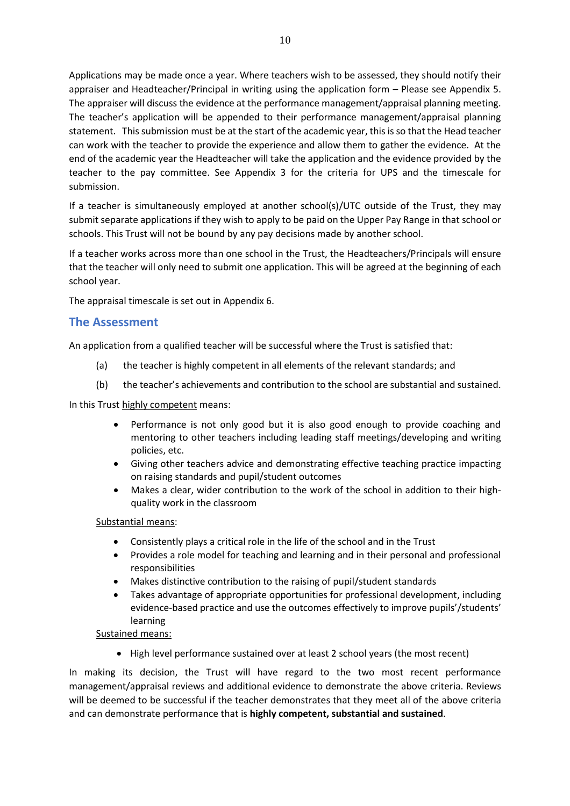Applications may be made once a year. Where teachers wish to be assessed, they should notify their appraiser and Headteacher/Principal in writing using the application form – Please see Appendix 5. The appraiser will discuss the evidence at the performance management/appraisal planning meeting. The teacher's application will be appended to their performance management/appraisal planning statement. This submission must be at the start of the academic year, this is so that the Head teacher can work with the teacher to provide the experience and allow them to gather the evidence. At the end of the academic year the Headteacher will take the application and the evidence provided by the teacher to the pay committee. See Appendix 3 for the criteria for UPS and the timescale for submission.

If a teacher is simultaneously employed at another school(s)/UTC outside of the Trust, they may submit separate applications if they wish to apply to be paid on the Upper Pay Range in that school or schools. This Trust will not be bound by any pay decisions made by another school.

If a teacher works across more than one school in the Trust, the Headteachers/Principals will ensure that the teacher will only need to submit one application. This will be agreed at the beginning of each school year.

The appraisal timescale is set out in Appendix 6.

#### **The Assessment**

An application from a qualified teacher will be successful where the Trust is satisfied that:

- (a) the teacher is highly competent in all elements of the relevant standards; and
- (b) the teacher's achievements and contribution to the school are substantial and sustained.

In this Trust highly competent means:

- Performance is not only good but it is also good enough to provide coaching and mentoring to other teachers including leading staff meetings/developing and writing policies, etc.
- Giving other teachers advice and demonstrating effective teaching practice impacting on raising standards and pupil/student outcomes
- Makes a clear, wider contribution to the work of the school in addition to their highquality work in the classroom

#### Substantial means:

- Consistently plays a critical role in the life of the school and in the Trust
- Provides a role model for teaching and learning and in their personal and professional responsibilities
- Makes distinctive contribution to the raising of pupil/student standards
- Takes advantage of appropriate opportunities for professional development, including evidence-based practice and use the outcomes effectively to improve pupils'/students' learning

#### Sustained means:

• High level performance sustained over at least 2 school years (the most recent)

In making its decision, the Trust will have regard to the two most recent performance management/appraisal reviews and additional evidence to demonstrate the above criteria. Reviews will be deemed to be successful if the teacher demonstrates that they meet all of the above criteria and can demonstrate performance that is **highly competent, substantial and sustained**.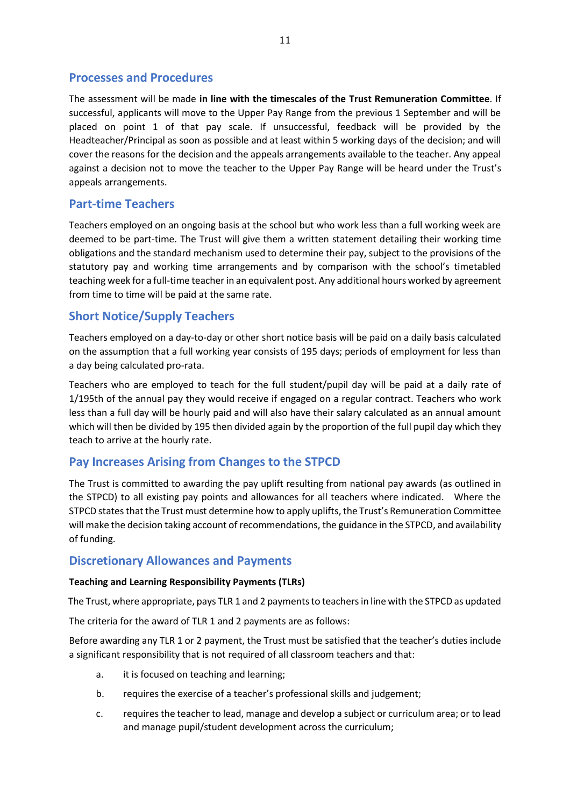## **Processes and Procedures**

The assessment will be made **in line with the timescales of the Trust Remuneration Committee**. If successful, applicants will move to the Upper Pay Range from the previous 1 September and will be placed on point 1 of that pay scale. If unsuccessful, feedback will be provided by the Headteacher/Principal as soon as possible and at least within 5 working days of the decision; and will cover the reasons for the decision and the appeals arrangements available to the teacher. Any appeal against a decision not to move the teacher to the Upper Pay Range will be heard under the Trust's appeals arrangements.

## **Part-time Teachers**

Teachers employed on an ongoing basis at the school but who work less than a full working week are deemed to be part-time. The Trust will give them a written statement detailing their working time obligations and the standard mechanism used to determine their pay, subject to the provisions of the statutory pay and working time arrangements and by comparison with the school's timetabled teaching week for a full-time teacher in an equivalent post. Any additional hours worked by agreement from time to time will be paid at the same rate.

## **Short Notice/Supply Teachers**

Teachers employed on a day-to-day or other short notice basis will be paid on a daily basis calculated on the assumption that a full working year consists of 195 days; periods of employment for less than a day being calculated pro-rata.

Teachers who are employed to teach for the full student/pupil day will be paid at a daily rate of 1/195th of the annual pay they would receive if engaged on a regular contract. Teachers who work less than a full day will be hourly paid and will also have their salary calculated as an annual amount which will then be divided by 195 then divided again by the proportion of the full pupil day which they teach to arrive at the hourly rate.

## **Pay Increases Arising from Changes to the STPCD**

The Trust is committed to awarding the pay uplift resulting from national pay awards (as outlined in the STPCD) to all existing pay points and allowances for all teachers where indicated. Where the STPCD states that the Trust must determine how to apply uplifts, the Trust's Remuneration Committee will make the decision taking account of recommendations, the guidance in the STPCD, and availability of funding.

#### **Discretionary Allowances and Payments**

#### **Teaching and Learning Responsibility Payments (TLRs)**

The Trust, where appropriate, pays TLR 1 and 2 payments to teachers in line with the STPCD as updated

The criteria for the award of TLR 1 and 2 payments are as follows:

Before awarding any TLR 1 or 2 payment, the Trust must be satisfied that the teacher's duties include a significant responsibility that is not required of all classroom teachers and that:

- a. it is focused on teaching and learning;
- b. requires the exercise of a teacher's professional skills and judgement;
- c. requires the teacher to lead, manage and develop a subject or curriculum area; or to lead and manage pupil/student development across the curriculum;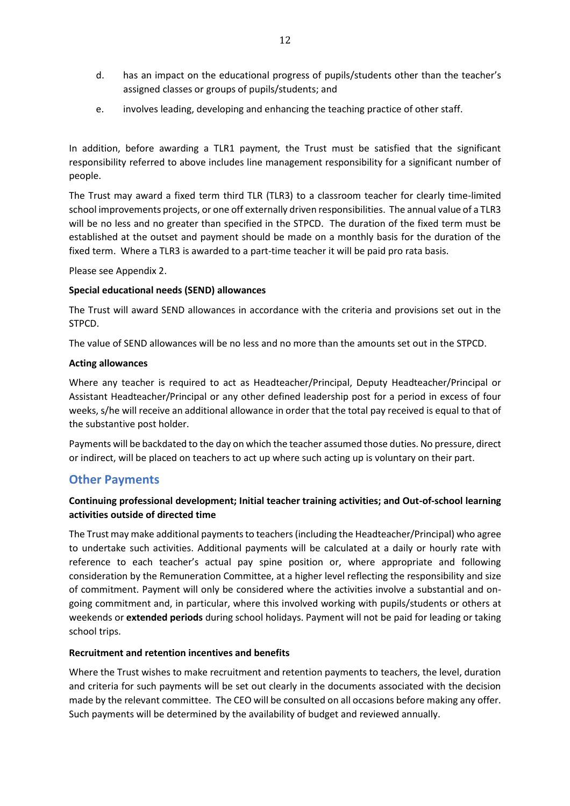- d. has an impact on the educational progress of pupils/students other than the teacher's assigned classes or groups of pupils/students; and
- e. involves leading, developing and enhancing the teaching practice of other staff.

In addition, before awarding a TLR1 payment, the Trust must be satisfied that the significant responsibility referred to above includes line management responsibility for a significant number of people.

The Trust may award a fixed term third TLR (TLR3) to a classroom teacher for clearly time-limited school improvements projects, or one off externally driven responsibilities. The annual value of a TLR3 will be no less and no greater than specified in the STPCD. The duration of the fixed term must be established at the outset and payment should be made on a monthly basis for the duration of the fixed term. Where a TLR3 is awarded to a part-time teacher it will be paid pro rata basis.

Please see Appendix 2.

#### **Special educational needs (SEND) allowances**

The Trust will award SEND allowances in accordance with the criteria and provisions set out in the STPCD.

The value of SEND allowances will be no less and no more than the amounts set out in the STPCD.

#### **Acting allowances**

Where any teacher is required to act as Headteacher/Principal, Deputy Headteacher/Principal or Assistant Headteacher/Principal or any other defined leadership post for a period in excess of four weeks, s/he will receive an additional allowance in order that the total pay received is equal to that of the substantive post holder.

Payments will be backdated to the day on which the teacher assumed those duties. No pressure, direct or indirect, will be placed on teachers to act up where such acting up is voluntary on their part.

#### **Other Payments**

#### **Continuing professional development; Initial teacher training activities; and Out-of-school learning activities outside of directed time**

The Trust may make additional payments to teachers (including the Headteacher/Principal) who agree to undertake such activities. Additional payments will be calculated at a daily or hourly rate with reference to each teacher's actual pay spine position or, where appropriate and following consideration by the Remuneration Committee, at a higher level reflecting the responsibility and size of commitment. Payment will only be considered where the activities involve a substantial and ongoing commitment and, in particular, where this involved working with pupils/students or others at weekends or **extended periods** during school holidays. Payment will not be paid for leading or taking school trips.

#### **Recruitment and retention incentives and benefits**

Where the Trust wishes to make recruitment and retention payments to teachers, the level, duration and criteria for such payments will be set out clearly in the documents associated with the decision made by the relevant committee. The CEO will be consulted on all occasions before making any offer. Such payments will be determined by the availability of budget and reviewed annually.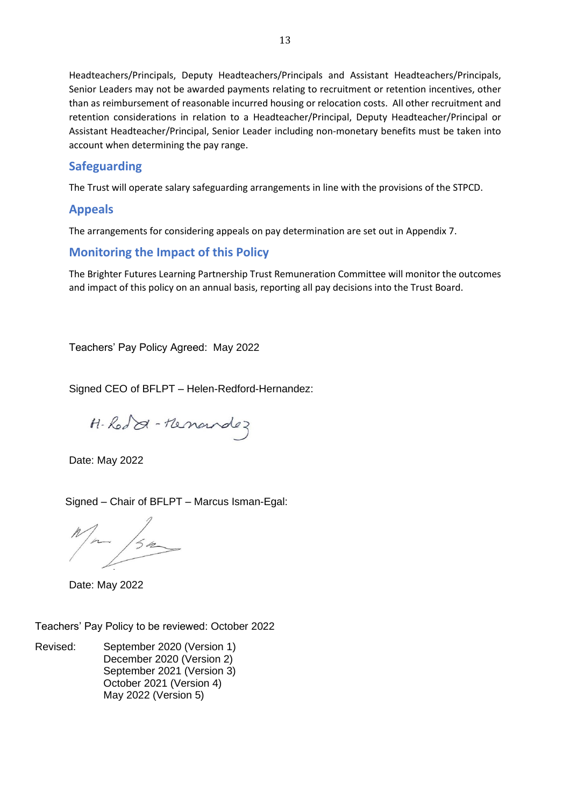Headteachers/Principals, Deputy Headteachers/Principals and Assistant Headteachers/Principals, Senior Leaders may not be awarded payments relating to recruitment or retention incentives, other than as reimbursement of reasonable incurred housing or relocation costs. All other recruitment and retention considerations in relation to a Headteacher/Principal, Deputy Headteacher/Principal or Assistant Headteacher/Principal, Senior Leader including non-monetary benefits must be taken into account when determining the pay range.

## **Safeguarding**

The Trust will operate salary safeguarding arrangements in line with the provisions of the STPCD.

## **Appeals**

The arrangements for considering appeals on pay determination are set out in Appendix 7.

## **Monitoring the Impact of this Policy**

The Brighter Futures Learning Partnership Trust Remuneration Committee will monitor the outcomes and impact of this policy on an annual basis, reporting all pay decisions into the Trust Board.

Teachers' Pay Policy Agreed: May 2022

Signed CEO of BFLPT – Helen-Redford-Hernandez:

H-Rod & - Henandez

Date: May 2022

Signed – Chair of BFLPT – Marcus Isman-Egal:

 $\overline{\phantom{a}}$ 

Date: May 2022

Teachers' Pay Policy to be reviewed: October 2022

Revised: September 2020 (Version 1) December 2020 (Version 2) September 2021 (Version 3) October 2021 (Version 4) May 2022 (Version 5)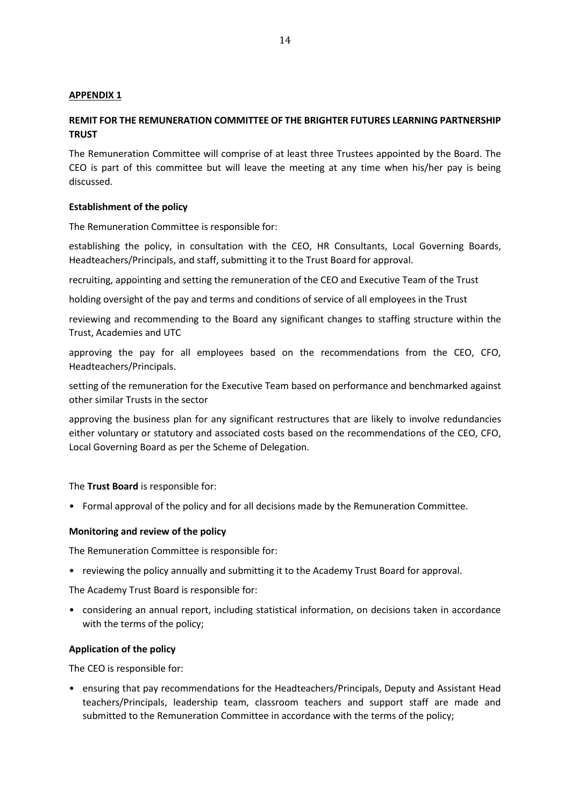#### **APPENDIX 1**

#### **REMIT FOR THE REMUNERATION COMMITTEE OF THE BRIGHTER FUTURES LEARNING PARTNERSHIP TRUST**

The Remuneration Committee will comprise of at least three Trustees appointed by the Board. The CEO is part of this committee but will leave the meeting at any time when his/her pay is being discussed.

#### **Establishment of the policy**

The Remuneration Committee is responsible for:

establishing the policy, in consultation with the CEO, HR Consultants, Local Governing Boards, Headteachers/Principals, and staff, submitting it to the Trust Board for approval.

recruiting, appointing and setting the remuneration of the CEO and Executive Team of the Trust

holding oversight of the pay and terms and conditions of service of all employees in the Trust

reviewing and recommending to the Board any significant changes to staffing structure within the Trust, Academies and UTC

approving the pay for all employees based on the recommendations from the CEO, CFO, Headteachers/Principals.

setting of the remuneration for the Executive Team based on performance and benchmarked against other similar Trusts in the sector

approving the business plan for any significant restructures that are likely to involve redundancies either voluntary or statutory and associated costs based on the recommendations of the CEO, CFO, Local Governing Board as per the Scheme of Delegation.

#### The **Trust Board** is responsible for:

• Formal approval of the policy and for all decisions made by the Remuneration Committee.

#### **Monitoring and review of the policy**

The Remuneration Committee is responsible for:

• reviewing the policy annually and submitting it to the Academy Trust Board for approval.

The Academy Trust Board is responsible for:

• considering an annual report, including statistical information, on decisions taken in accordance with the terms of the policy;

#### **Application of the policy**

The CEO is responsible for:

• ensuring that pay recommendations for the Headteachers/Principals, Deputy and Assistant Head teachers/Principals, leadership team, classroom teachers and support staff are made and submitted to the Remuneration Committee in accordance with the terms of the policy;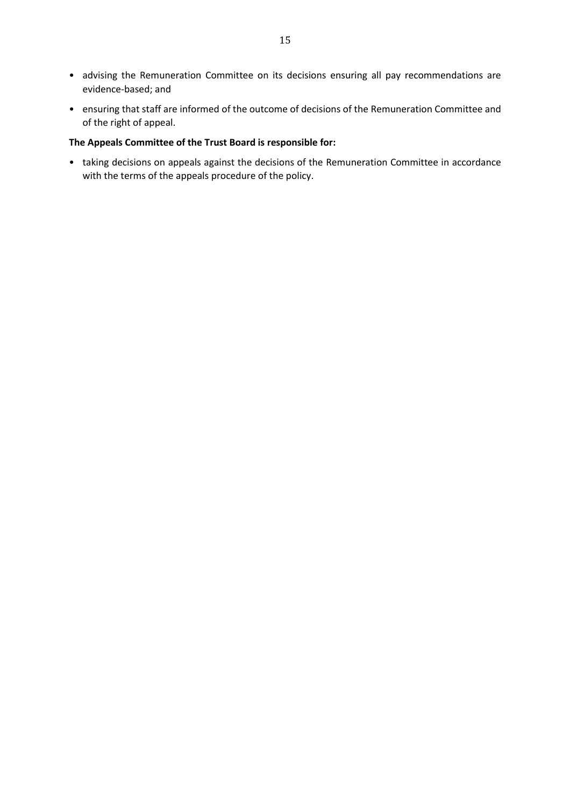- advising the Remuneration Committee on its decisions ensuring all pay recommendations are evidence-based; and
- ensuring that staff are informed of the outcome of decisions of the Remuneration Committee and of the right of appeal.

#### **The Appeals Committee of the Trust Board is responsible for:**

• taking decisions on appeals against the decisions of the Remuneration Committee in accordance with the terms of the appeals procedure of the policy.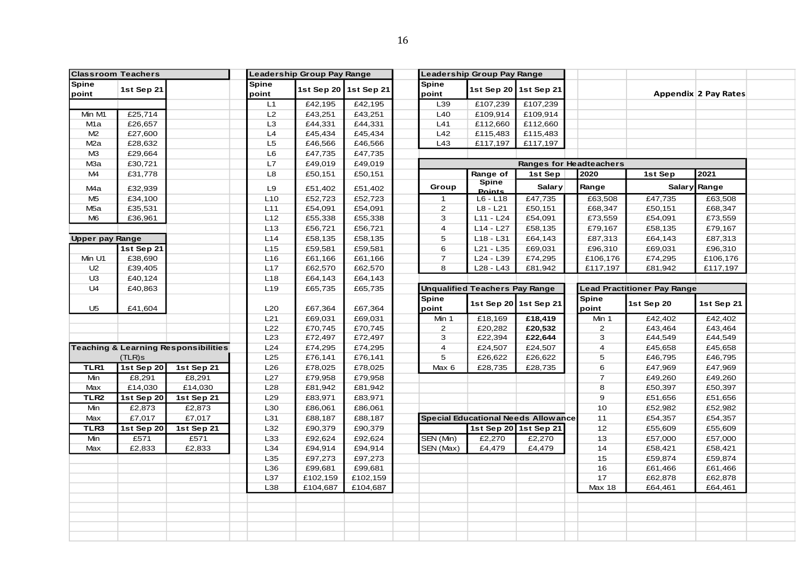| <b>Classroom Teachers</b> |            |                                                 |                 | Leadership Group Pay Range |                       |                | Leadership Group Pay Range            |                                            |                                |                                    |                      |  |
|---------------------------|------------|-------------------------------------------------|-----------------|----------------------------|-----------------------|----------------|---------------------------------------|--------------------------------------------|--------------------------------|------------------------------------|----------------------|--|
| <b>Spine</b>              | 1st Sep 21 |                                                 | <b>Spine</b>    |                            | 1st Sep 20 1st Sep 21 | <b>Spine</b>   |                                       | 1st Sep 20 1st Sep 21                      |                                |                                    |                      |  |
| point                     |            |                                                 | point           |                            |                       | point          |                                       |                                            |                                |                                    | Appendix 2 Pay Rates |  |
|                           |            |                                                 | L1              | £42,195                    | £42,195               | L39            | £107,239                              | £107,239                                   |                                |                                    |                      |  |
| Min M1                    | £25,714    |                                                 | L2              | £43,251                    | £43,251               | L40            | £109,914                              | £109,914                                   |                                |                                    |                      |  |
| M1a                       | £26,657    |                                                 | L <sub>3</sub>  | £44,331                    | £44,331               | L41            | £112,660                              | £112,660                                   |                                |                                    |                      |  |
| M2                        | £27,600    |                                                 | L4              | £45,434                    | £45,434               | L42            | £115,483                              | £115,483                                   |                                |                                    |                      |  |
| M <sub>2</sub> a          | £28,632    |                                                 | L5              | £46,566                    | £46,566               | L43            | £117,197                              | £117,197                                   |                                |                                    |                      |  |
| M <sub>3</sub>            | £29,664    |                                                 | L <sub>6</sub>  | £47,735                    | £47,735               |                |                                       |                                            |                                |                                    |                      |  |
| M <sub>3</sub> a          | £30,721    |                                                 | L7              | £49,019                    | £49,019               |                |                                       |                                            | <b>Ranges for Headteachers</b> |                                    |                      |  |
| M4                        | £31,778    |                                                 | L <sub>8</sub>  | £50,151                    | £50,151               |                | Range of                              | 1st Sep                                    | 2020                           | 1st Sep                            | 2021                 |  |
| M4a                       | £32,939    |                                                 | L9              | £51,402                    | £51,402               | Group          | Spine<br><b>Points</b>                | <b>Salary</b>                              | Range                          |                                    | Salary Range         |  |
| M <sub>5</sub>            | £34,100    |                                                 | L10             | £52,723                    | £52,723               | $\mathbf{1}$   | $L6 - L18$                            | £47,735                                    | £63,508                        | £47,735                            | £63,508              |  |
| M <sub>5a</sub>           | £35,531    |                                                 | L11             | £54,091                    | £54,091               | $\overline{2}$ | $L8 - L21$                            | £50,151                                    | £68,347                        | £50,151                            | £68,347              |  |
| M <sub>6</sub>            | £36,961    |                                                 | L12             | £55,338                    | £55,338               | 3              | $L11 - L24$                           | £54,091                                    | £73,559                        | £54,091                            | £73,559              |  |
|                           |            |                                                 | L13             | £56,721                    | £56,721               | $\overline{4}$ | $L14 - L27$                           | £58,135                                    | £79,167                        | £58,135                            | £79,167              |  |
| <b>Upper pay Range</b>    |            |                                                 | L14             | £58,135                    | £58,135               | 5              | L18 - L31                             | £64,143                                    | £87,313                        | £64,143                            | £87,313              |  |
|                           | 1st Sep 21 |                                                 | L15             | £59,581                    | £59,581               | 6              | $L21 - L35$                           | £69,031                                    | £96,310                        | £69,031                            | £96,310              |  |
| Min U1                    | £38,690    |                                                 | L <sub>16</sub> | £61,166                    | £61,166               | $\overline{7}$ | L24 - L39                             | £74,295                                    | £106,176                       | £74,295                            | £106,176             |  |
| U <sub>2</sub>            | £39,405    |                                                 | L17             | £62,570                    | £62,570               | 8              | L28 - L43                             | £81,942                                    | £117,197                       | £81,942                            | £117,197             |  |
| U <sub>3</sub>            | £40,124    |                                                 | L <sub>18</sub> | £64,143                    | £64,143               |                |                                       |                                            |                                |                                    |                      |  |
| U4                        | £40,863    |                                                 | L <sub>19</sub> | £65,735                    | £65,735               |                | <b>Unqualified Teachers Pay Range</b> |                                            |                                | <b>Lead Practitioner Pay Range</b> |                      |  |
|                           |            |                                                 |                 |                            |                       | <b>Spine</b>   |                                       |                                            | <b>Spine</b>                   |                                    |                      |  |
| U <sub>5</sub>            | £41,604    |                                                 | L20             | £67,364                    | £67,364               | point          |                                       | 1st Sep 20 1st Sep 21                      | point                          | 1st Sep 20                         | 1st Sep 21           |  |
|                           |            |                                                 | L21             | £69,031                    | £69,031               | Min 1          | £18,169                               | £18,419                                    | Min 1                          | £42,402                            | £42,402              |  |
|                           |            |                                                 | L22             | £70,745                    | £70,745               | $\overline{2}$ | £20,282                               | £20,532                                    | 2                              | £43,464                            | £43,464              |  |
|                           |            |                                                 | L23             | £72,497                    | £72,497               | 3              | £22,394                               | £22,644                                    | 3                              | £44,549                            | £44,549              |  |
|                           |            | <b>Teaching &amp; Learning Responsibilities</b> | L24             | £74,295                    | £74,295               | $\overline{4}$ | £24,507                               | £24,507                                    | $\overline{4}$                 | £45,658                            | £45,658              |  |
|                           | $(TLR)$ s  |                                                 | L25             | £76,141                    | £76,141               | 5              | £26,622                               | £26,622                                    | 5                              | £46,795                            | £46,795              |  |
| TLR1                      | 1st Sep 20 | 1st Sep 21                                      | L26             | £78,025                    | £78,025               | Max 6          | £28,735                               | £28,735                                    | 6                              | £47,969                            | £47,969              |  |
| Min                       | £8,291     | £8,291                                          | L27             | £79,958                    | £79,958               |                |                                       |                                            | $\overline{7}$                 | £49,260                            | £49,260              |  |
| Max                       | £14,030    | £14,030                                         | L28             | £81,942                    | £81,942               |                |                                       |                                            | 8                              | £50,397                            | £50,397              |  |
| TLR <sub>2</sub>          | 1st Sep 20 | 1st Sep 21                                      | L29             | £83,971                    | £83,971               |                |                                       |                                            | 9                              | £51,656                            | £51,656              |  |
| Min                       | £2,873     | £2,873                                          | L30             | £86,061                    | £86,061               |                |                                       |                                            | 10                             | £52,982                            | £52,982              |  |
| Max                       | £7,017     | £7,017                                          | L31             | £88,187                    | £88,187               |                |                                       | <b>Special Educational Needs Allowance</b> | 11                             | £54,357                            | £54,357              |  |
| TLR3                      | 1st Sep 20 | 1st Sep 21                                      | L32             | £90,379                    | £90,379               |                |                                       | 1st Sep 20 1st Sep 21                      | 12                             | £55,609                            | £55,609              |  |
| Min                       | £571       | £571                                            | L33             | £92,624                    | £92,624               | SEN (Min)      | £2,270                                | £2,270                                     | 13                             | £57,000                            | £57,000              |  |
| Max                       | £2,833     | £2,833                                          | L34             | £94,914                    | £94,914               | SEN (Max)      | £4,479                                | £4,479                                     | 14                             | £58,421                            | £58,421              |  |
|                           |            |                                                 | L35             | £97,273                    | £97,273               |                |                                       |                                            | 15                             | £59,874                            | £59,874              |  |
|                           |            |                                                 | L36             | £99,681                    | £99,681               |                |                                       |                                            | 16                             | £61,466                            | £61,466              |  |
|                           |            |                                                 | L37             | £102,159                   | £102,159              |                |                                       |                                            | 17                             | £62,878                            | £62,878              |  |
|                           |            |                                                 | L38             | £104,687                   | £104,687              |                |                                       |                                            | <b>Max 18</b>                  | £64,461                            | £64,461              |  |
|                           |            |                                                 |                 |                            |                       |                |                                       |                                            |                                |                                    |                      |  |
|                           |            |                                                 |                 |                            |                       |                |                                       |                                            |                                |                                    |                      |  |
|                           |            |                                                 |                 |                            |                       |                |                                       |                                            |                                |                                    |                      |  |
|                           |            |                                                 |                 |                            |                       |                |                                       |                                            |                                |                                    |                      |  |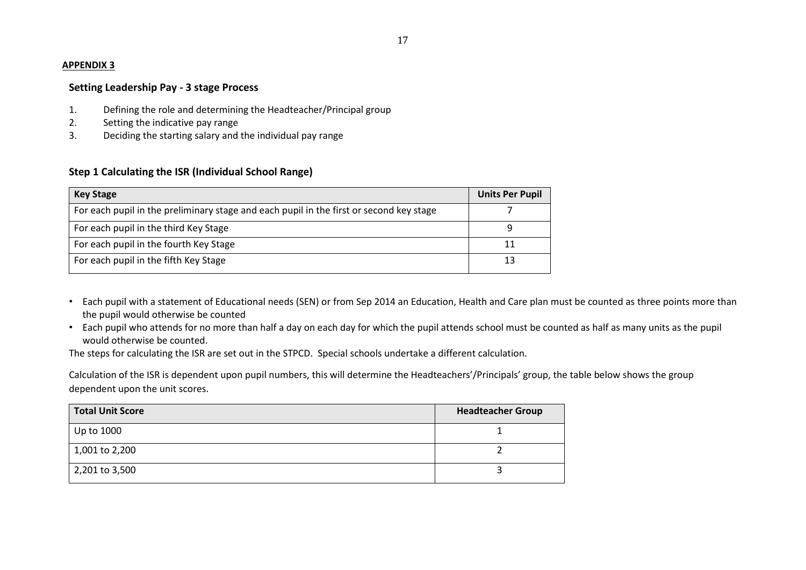#### **APPENDIX 3**

#### **Setting Leadership Pay - 3 stage Process**

- 1. Defining the role and determining the Headteacher/Principal group
- 2. Setting the indicative pay range
- 3. Deciding the starting salary and the individual pay range

#### **Step 1 Calculating the ISR (Individual School Range)**

| <b>Key Stage</b>                                                                        | <b>Units Per Pupil</b> |
|-----------------------------------------------------------------------------------------|------------------------|
| For each pupil in the preliminary stage and each pupil in the first or second key stage |                        |
| For each pupil in the third Key Stage                                                   |                        |
| For each pupil in the fourth Key Stage                                                  | 11                     |
| For each pupil in the fifth Key Stage                                                   | 13                     |

- Each pupil with a statement of Educational needs (SEN) or from Sep 2014 an Education, Health and Care plan must be counted as three points more than the pupil would otherwise be counted
- Each pupil who attends for no more than half a day on each day for which the pupil attends school must be counted as half as many units as the pupil would otherwise be counted.

The steps for calculating the ISR are set out in the STPCD. Special schools undertake a different calculation.

Calculation of the ISR is dependent upon pupil numbers, this will determine the Headteachers'/Principals' group, the table below shows the group dependent upon the unit scores.

| <b>Total Unit Score</b> | <b>Headteacher Group</b> |
|-------------------------|--------------------------|
| Up to 1000              |                          |
| 1,001 to 2,200          |                          |
| 2,201 to 3,500          |                          |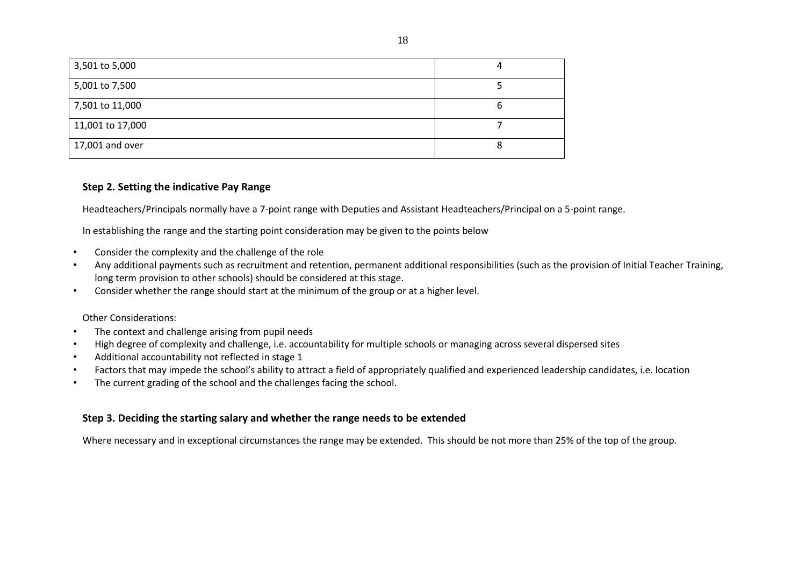| 3,501 to 5,000   |  |
|------------------|--|
| 5,001 to 7,500   |  |
| 7,501 to 11,000  |  |
| 11,001 to 17,000 |  |
| 17,001 and over  |  |

#### **Step 2. Setting the indicative Pay Range**

Headteachers/Principals normally have a 7-point range with Deputies and Assistant Headteachers/Principal on a 5-point range.

In establishing the range and the starting point consideration may be given to the points below

- Consider the complexity and the challenge of the role
- Any additional payments such as recruitment and retention, permanent additional responsibilities (such as the provision of Initial Teacher Training, long term provision to other schools) should be considered at this stage.
- Consider whether the range should start at the minimum of the group or at a higher level.

#### Other Considerations:

- The context and challenge arising from pupil needs
- High degree of complexity and challenge, i.e. accountability for multiple schools or managing across several dispersed sites
- Additional accountability not reflected in stage 1
- Factors that may impede the school's ability to attract a field of appropriately qualified and experienced leadership candidates, i.e. location
- The current grading of the school and the challenges facing the school.

#### **Step 3. Deciding the starting salary and whether the range needs to be extended**

Where necessary and in exceptional circumstances the range may be extended. This should be not more than 25% of the top of the group.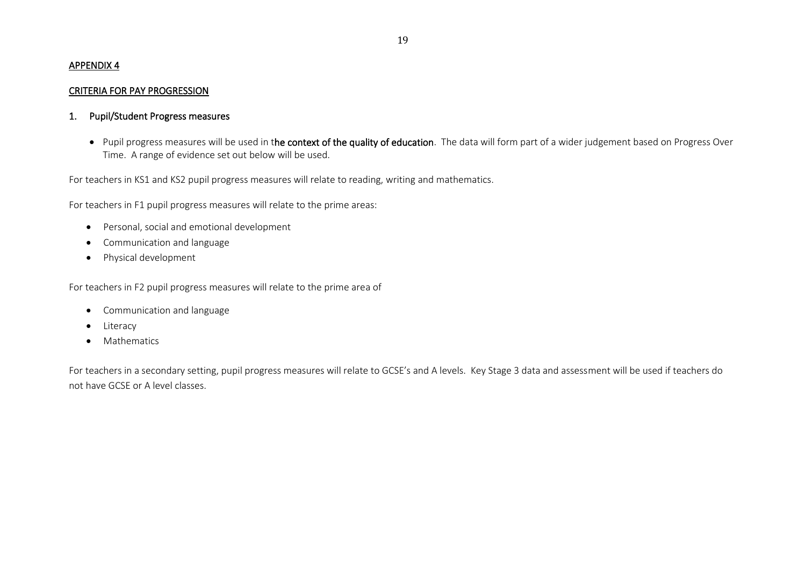#### APPENDIX 4

#### CRITERIA FOR PAY PROGRESSION

#### 1. Pupil/Student Progress measures

• Pupil progress measures will be used in the context of the quality of education. The data will form part of a wider judgement based on Progress Over Time. A range of evidence set out below will be used.

For teachers in KS1 and KS2 pupil progress measures will relate to reading, writing and mathematics.

For teachers in F1 pupil progress measures will relate to the prime areas:

- Personal, social and emotional development
- Communication and language
- Physical development

For teachers in F2 pupil progress measures will relate to the prime area of

- Communication and language
- Literacy
- Mathematics

For teachers in a secondary setting, pupil progress measures will relate to GCSE's and A levels. Key Stage 3 data and assessment will be used if teachers do not have GCSE or A level classes.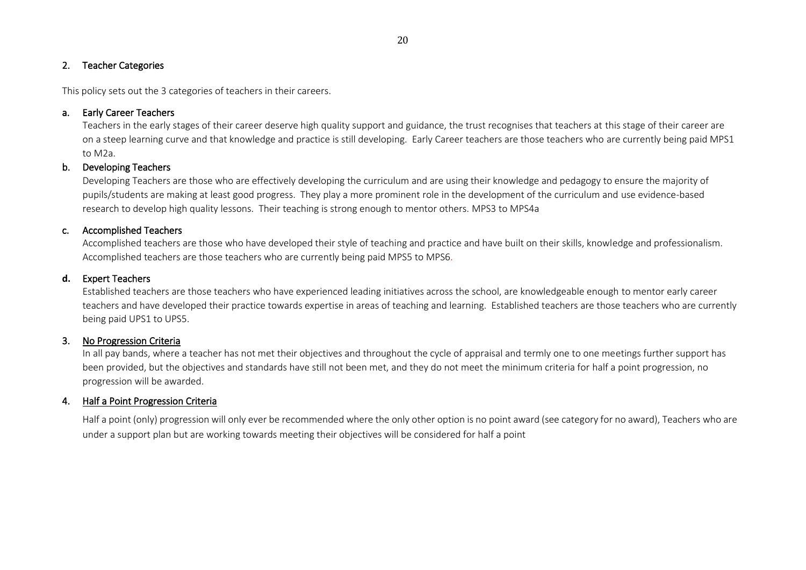#### 20

#### 2. Teacher Categories

This policy sets out the 3 categories of teachers in their careers.

#### a. Early Career Teachers

Teachers in the early stages of their career deserve high quality support and guidance, the trust recognises that teachers at this stage of their career are on a steep learning curve and that knowledge and practice is still developing. Early Career teachers are those teachers who are currently being paid MPS1 to M2a.

#### b. Developing Teachers

Developing Teachers are those who are effectively developing the curriculum and are using their knowledge and pedagogy to ensure the majority of pupils/students are making at least good progress. They play a more prominent role in the development of the curriculum and use evidence-based research to develop high quality lessons. Their teaching is strong enough to mentor others. MPS3 to MPS4a

#### c. Accomplished Teachers

Accomplished teachers are those who have developed their style of teaching and practice and have built on their skills, knowledge and professionalism. Accomplished teachers are those teachers who are currently being paid MPS5 to MPS6.

#### **d.** Expert Teachers

Established teachers are those teachers who have experienced leading initiatives across the school, are knowledgeable enough to mentor early career teachers and have developed their practice towards expertise in areas of teaching and learning. Established teachers are those teachers who are currently being paid UPS1 to UPS5.

#### 3. No Progression Criteria

In all pay bands, where a teacher has not met their objectives and throughout the cycle of appraisal and termly one to one meetings further support has been provided, but the objectives and standards have still not been met, and they do not meet the minimum criteria for half a point progression, no progression will be awarded.

#### 4. Half a Point Progression Criteria

Half a point (only) progression will only ever be recommended where the only other option is no point award (see category for no award), Teachers who are under a support plan but are working towards meeting their objectives will be considered for half a point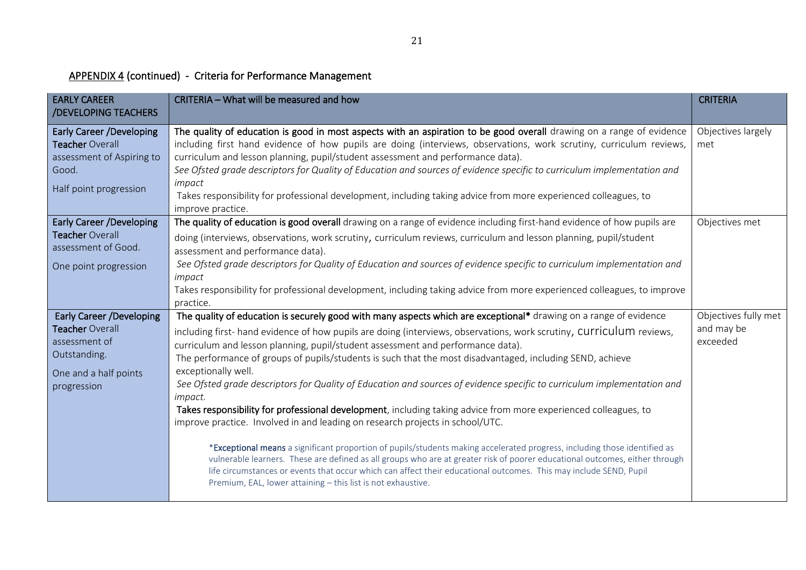## APPENDIX 4 (continued) - Criteria for Performance Management

| <b>EARLY CAREER</b><br>/DEVELOPING TEACHERS                                                                                 | CRITERIA - What will be measured and how                                                                                                                                                                                                                                                                                                                                                                                                                                                                                                                                                                                                                                                                                                                                                                                                                                                                                                                                                                                                                                                                                                                                                                                                                          | <b>CRITERIA</b>                                |
|-----------------------------------------------------------------------------------------------------------------------------|-------------------------------------------------------------------------------------------------------------------------------------------------------------------------------------------------------------------------------------------------------------------------------------------------------------------------------------------------------------------------------------------------------------------------------------------------------------------------------------------------------------------------------------------------------------------------------------------------------------------------------------------------------------------------------------------------------------------------------------------------------------------------------------------------------------------------------------------------------------------------------------------------------------------------------------------------------------------------------------------------------------------------------------------------------------------------------------------------------------------------------------------------------------------------------------------------------------------------------------------------------------------|------------------------------------------------|
| <b>Early Career /Developing</b><br>Teacher Overall<br>assessment of Aspiring to<br>Good.<br>Half point progression          | The quality of education is good in most aspects with an aspiration to be good overall drawing on a range of evidence<br>including first hand evidence of how pupils are doing (interviews, observations, work scrutiny, curriculum reviews,<br>curriculum and lesson planning, pupil/student assessment and performance data).<br>See Ofsted grade descriptors for Quality of Education and sources of evidence specific to curriculum implementation and<br>impact<br>Takes responsibility for professional development, including taking advice from more experienced colleagues, to<br>improve practice.                                                                                                                                                                                                                                                                                                                                                                                                                                                                                                                                                                                                                                                      | Objectives largely<br>met                      |
| <b>Early Career /Developing</b><br>Teacher Overall<br>assessment of Good.<br>One point progression                          | The quality of education is good overall drawing on a range of evidence including first-hand evidence of how pupils are<br>doing (interviews, observations, work scrutiny, curriculum reviews, curriculum and lesson planning, pupil/student<br>assessment and performance data).<br>See Ofsted grade descriptors for Quality of Education and sources of evidence specific to curriculum implementation and<br>impact<br>Takes responsibility for professional development, including taking advice from more experienced colleagues, to improve<br>practice.                                                                                                                                                                                                                                                                                                                                                                                                                                                                                                                                                                                                                                                                                                    | Objectives met                                 |
| <b>Early Career /Developing</b><br>Teacher Overall<br>assessment of<br>Outstanding.<br>One and a half points<br>progression | The quality of education is securely good with many aspects which are exceptional* drawing on a range of evidence<br>including first-hand evidence of how pupils are doing (interviews, observations, work scrutiny, Curriculum reviews,<br>curriculum and lesson planning, pupil/student assessment and performance data).<br>The performance of groups of pupils/students is such that the most disadvantaged, including SEND, achieve<br>exceptionally well.<br>See Ofsted grade descriptors for Quality of Education and sources of evidence specific to curriculum implementation and<br><i>impact.</i><br>Takes responsibility for professional development, including taking advice from more experienced colleagues, to<br>improve practice. Involved in and leading on research projects in school/UTC.<br>*Exceptional means a significant proportion of pupils/students making accelerated progress, including those identified as<br>vulnerable learners. These are defined as all groups who are at greater risk of poorer educational outcomes, either through<br>life circumstances or events that occur which can affect their educational outcomes. This may include SEND, Pupil<br>Premium, EAL, lower attaining - this list is not exhaustive. | Objectives fully met<br>and may be<br>exceeded |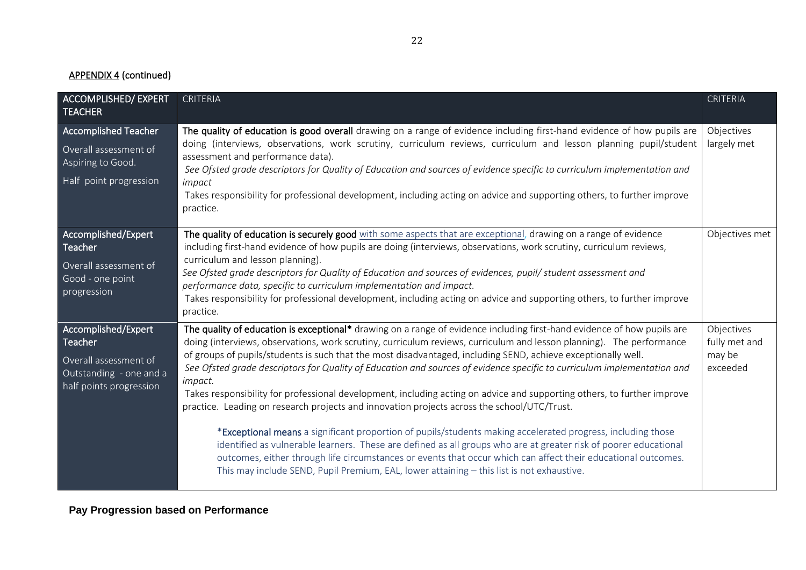## APPENDIX 4 (continued)

| <b>ACCOMPLISHED/ EXPERT</b><br><b>TEACHER</b>                                                                 | <b>CRITERIA</b>                                                                                                                                                                                                                                                                                                                                                                                                                                                                                                                                                                                                                                                                                                                                                                                                                                                                                                                                                                                                                                                                                                                                                                          | <b>CRITERIA</b>                                   |
|---------------------------------------------------------------------------------------------------------------|------------------------------------------------------------------------------------------------------------------------------------------------------------------------------------------------------------------------------------------------------------------------------------------------------------------------------------------------------------------------------------------------------------------------------------------------------------------------------------------------------------------------------------------------------------------------------------------------------------------------------------------------------------------------------------------------------------------------------------------------------------------------------------------------------------------------------------------------------------------------------------------------------------------------------------------------------------------------------------------------------------------------------------------------------------------------------------------------------------------------------------------------------------------------------------------|---------------------------------------------------|
| <b>Accomplished Teacher</b><br>Overall assessment of<br>Aspiring to Good.<br>Half point progression           | The quality of education is good overall drawing on a range of evidence including first-hand evidence of how pupils are<br>doing (interviews, observations, work scrutiny, curriculum reviews, curriculum and lesson planning pupil/student<br>assessment and performance data).<br>See Ofsted grade descriptors for Quality of Education and sources of evidence specific to curriculum implementation and<br>impact<br>Takes responsibility for professional development, including acting on advice and supporting others, to further improve<br>practice.                                                                                                                                                                                                                                                                                                                                                                                                                                                                                                                                                                                                                            | Objectives<br>largely met                         |
| Accomplished/Expert<br>Teacher<br>Overall assessment of<br>Good - one point<br>progression                    | The quality of education is securely good with some aspects that are exceptional, drawing on a range of evidence<br>including first-hand evidence of how pupils are doing (interviews, observations, work scrutiny, curriculum reviews,<br>curriculum and lesson planning).<br>See Ofsted grade descriptors for Quality of Education and sources of evidences, pupil/ student assessment and<br>performance data, specific to curriculum implementation and impact.<br>Takes responsibility for professional development, including acting on advice and supporting others, to further improve<br>practice.                                                                                                                                                                                                                                                                                                                                                                                                                                                                                                                                                                              | Objectives met                                    |
| Accomplished/Expert<br>Teacher<br>Overall assessment of<br>Outstanding - one and a<br>half points progression | The quality of education is exceptional* drawing on a range of evidence including first-hand evidence of how pupils are<br>doing (interviews, observations, work scrutiny, curriculum reviews, curriculum and lesson planning). The performance<br>of groups of pupils/students is such that the most disadvantaged, including SEND, achieve exceptionally well.<br>See Ofsted grade descriptors for Quality of Education and sources of evidence specific to curriculum implementation and<br><i>impact.</i><br>Takes responsibility for professional development, including acting on advice and supporting others, to further improve<br>practice. Leading on research projects and innovation projects across the school/UTC/Trust.<br>*Exceptional means a significant proportion of pupils/students making accelerated progress, including those<br>identified as vulnerable learners. These are defined as all groups who are at greater risk of poorer educational<br>outcomes, either through life circumstances or events that occur which can affect their educational outcomes.<br>This may include SEND, Pupil Premium, EAL, lower attaining - this list is not exhaustive. | Objectives<br>fully met and<br>may be<br>exceeded |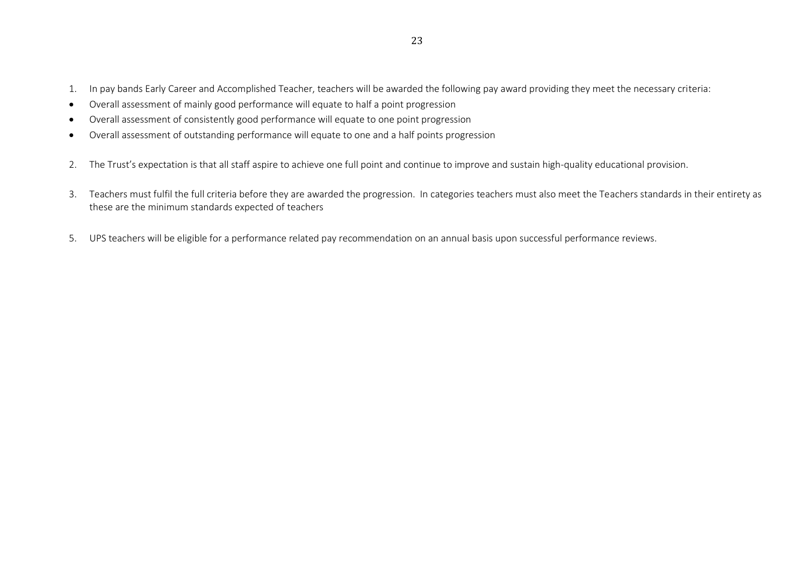- 1. In pay bands Early Career and Accomplished Teacher, teachers will be awarded the following pay award providing they meet the necessary criteria:
- Overall assessment of mainly good performance will equate to half a point progression
- Overall assessment of consistently good performance will equate to one point progression
- Overall assessment of outstanding performance will equate to one and a half points progression
- 2. The Trust's expectation is that all staff aspire to achieve one full point and continue to improve and sustain high-quality educational provision.
- 3. Teachers must fulfil the full criteria before they are awarded the progression. In categories teachers must also meet the Teachers standards in their entirety as these are the minimum standards expected of teachers
- 5. UPS teachers will be eligible for a performance related pay recommendation on an annual basis upon successful performance reviews.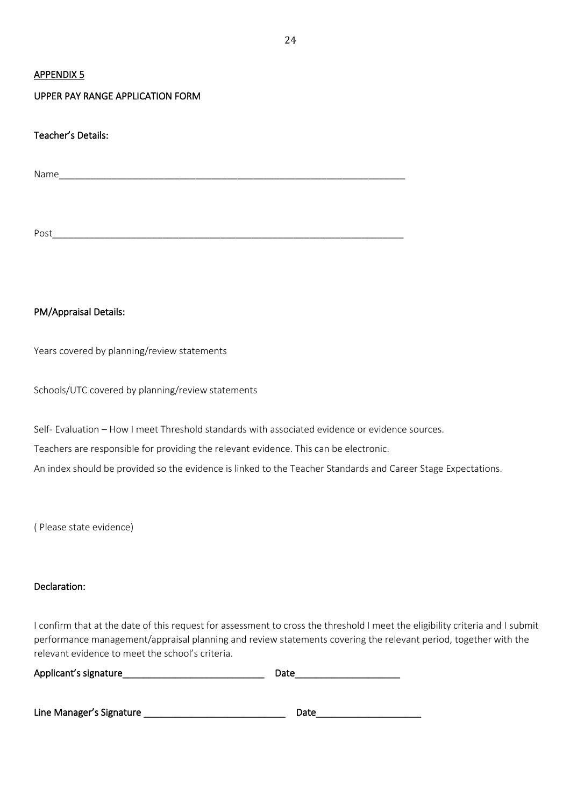#### APPENDIX 5

#### UPPER PAY RANGE APPLICATION FORM

Teacher's Details:

Name\_\_\_\_\_\_\_\_\_\_\_\_\_\_\_\_\_\_\_\_\_\_\_\_\_\_\_\_\_\_\_\_\_\_\_\_\_\_\_\_\_\_\_\_\_\_\_\_\_\_\_\_\_\_\_\_\_\_\_\_\_\_\_\_\_\_

Post\_\_\_\_\_\_\_\_\_\_\_\_\_\_\_\_\_\_\_\_\_\_\_\_\_\_\_\_\_\_\_\_\_\_\_\_\_\_\_\_\_\_\_\_\_\_\_\_\_\_\_\_\_\_\_\_\_\_\_\_\_\_\_\_\_\_\_

#### PM/Appraisal Details:

Years covered by planning/review statements

Schools/UTC covered by planning/review statements

Self- Evaluation – How I meet Threshold standards with associated evidence or evidence sources.

Teachers are responsible for providing the relevant evidence. This can be electronic.

An index should be provided so the evidence is linked to the Teacher Standards and Career Stage Expectations.

( Please state evidence)

#### Declaration:

I confirm that at the date of this request for assessment to cross the threshold I meet the eligibility criteria and I submit performance management/appraisal planning and review statements covering the relevant period, together with the relevant evidence to meet the school's criteria.

| Applicant's signature | Date |
|-----------------------|------|
|                       |      |

| Line Manager's Signature | Date |  |
|--------------------------|------|--|
|--------------------------|------|--|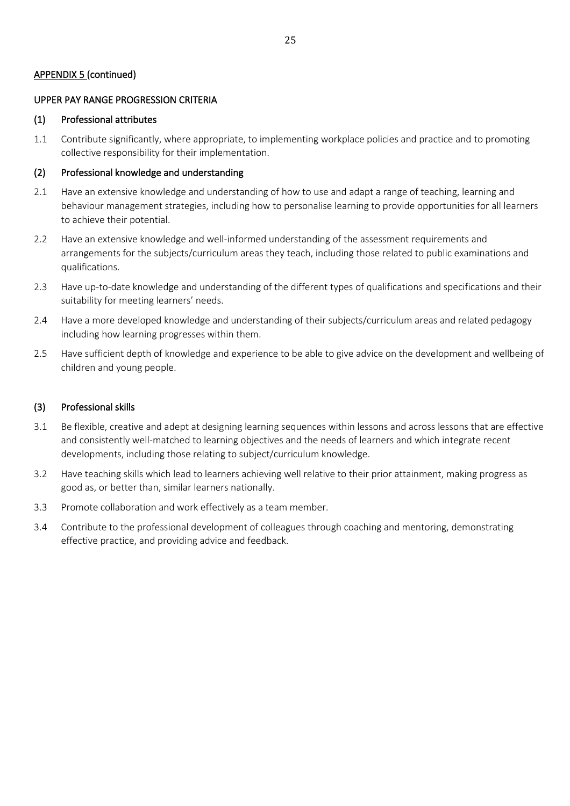#### APPENDIX 5 (continued)

#### UPPER PAY RANGE PROGRESSION CRITERIA

#### (1) Professional attributes

1.1 Contribute significantly, where appropriate, to implementing workplace policies and practice and to promoting collective responsibility for their implementation.

#### (2) Professional knowledge and understanding

- 2.1 Have an extensive knowledge and understanding of how to use and adapt a range of teaching, learning and behaviour management strategies, including how to personalise learning to provide opportunities for all learners to achieve their potential.
- 2.2 Have an extensive knowledge and well-informed understanding of the assessment requirements and arrangements for the subjects/curriculum areas they teach, including those related to public examinations and qualifications.
- 2.3 Have up-to-date knowledge and understanding of the different types of qualifications and specifications and their suitability for meeting learners' needs.
- 2.4 Have a more developed knowledge and understanding of their subjects/curriculum areas and related pedagogy including how learning progresses within them.
- 2.5 Have sufficient depth of knowledge and experience to be able to give advice on the development and wellbeing of children and young people.

#### (3) Professional skills

- 3.1 Be flexible, creative and adept at designing learning sequences within lessons and across lessons that are effective and consistently well-matched to learning objectives and the needs of learners and which integrate recent developments, including those relating to subject/curriculum knowledge.
- 3.2 Have teaching skills which lead to learners achieving well relative to their prior attainment, making progress as good as, or better than, similar learners nationally.
- 3.3 Promote collaboration and work effectively as a team member.
- 3.4 Contribute to the professional development of colleagues through coaching and mentoring, demonstrating effective practice, and providing advice and feedback.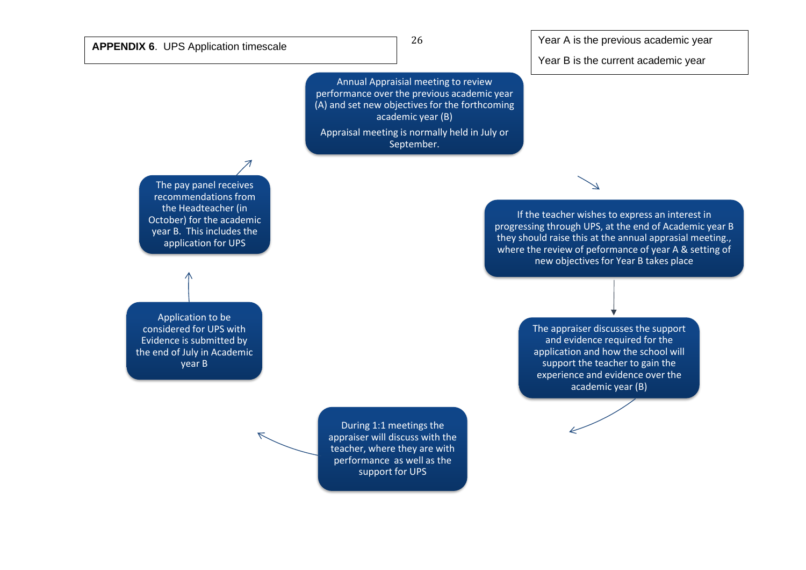26

Year B is the current academic year

Annual Appraisial meeting to review performance over the previous academic year (A) and set new objectives for the forthcoming academic year (B)

Appraisal meeting is normally held in July or September.

The pay panel receives recommendations from the Headteacher (in October) for the academic year B. This includes the application for UPS

Application to be considered for UPS with Evidence is submitted by the end of July in Academic year B

If the teacher wishes to express an interest in progressing through UPS, at the end of Academic year B they should raise this at the annual apprasial meeting., where the review of peformance of year A & setting of new objectives for Year B takes place

> The appraiser discusses the support and evidence required for the application and how the school will support the teacher to gain the experience and evidence over the academic year (B)

During 1:1 meetings the appraiser will discuss with the teacher, where they are with performance as well as the support for UPS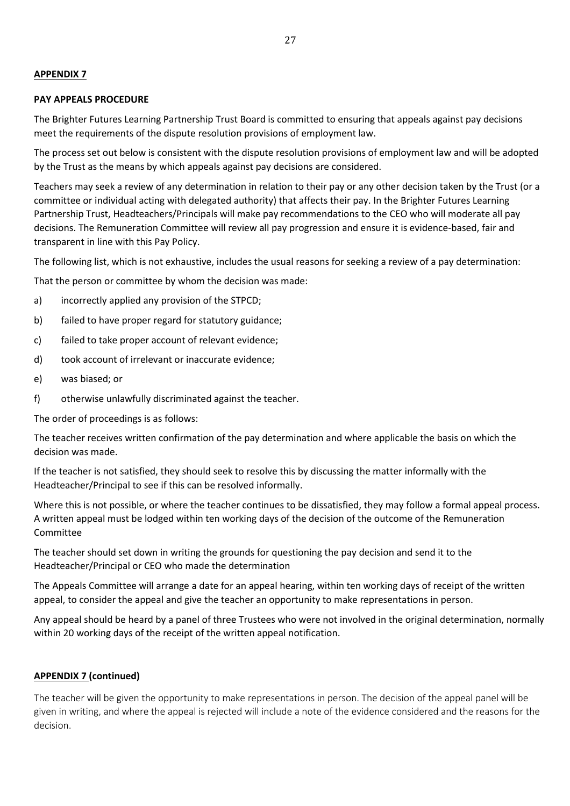#### **APPENDIX 7**

#### **PAY APPEALS PROCEDURE**

The Brighter Futures Learning Partnership Trust Board is committed to ensuring that appeals against pay decisions meet the requirements of the dispute resolution provisions of employment law.

The process set out below is consistent with the dispute resolution provisions of employment law and will be adopted by the Trust as the means by which appeals against pay decisions are considered.

Teachers may seek a review of any determination in relation to their pay or any other decision taken by the Trust (or a committee or individual acting with delegated authority) that affects their pay. In the Brighter Futures Learning Partnership Trust, Headteachers/Principals will make pay recommendations to the CEO who will moderate all pay decisions. The Remuneration Committee will review all pay progression and ensure it is evidence-based, fair and transparent in line with this Pay Policy.

The following list, which is not exhaustive, includes the usual reasons for seeking a review of a pay determination:

That the person or committee by whom the decision was made:

- a) incorrectly applied any provision of the STPCD;
- b) failed to have proper regard for statutory guidance;
- c) failed to take proper account of relevant evidence;
- d) took account of irrelevant or inaccurate evidence;
- e) was biased; or
- f) otherwise unlawfully discriminated against the teacher.

The order of proceedings is as follows:

The teacher receives written confirmation of the pay determination and where applicable the basis on which the decision was made.

If the teacher is not satisfied, they should seek to resolve this by discussing the matter informally with the Headteacher/Principal to see if this can be resolved informally.

Where this is not possible, or where the teacher continues to be dissatisfied, they may follow a formal appeal process. A written appeal must be lodged within ten working days of the decision of the outcome of the Remuneration **Committee** 

The teacher should set down in writing the grounds for questioning the pay decision and send it to the Headteacher/Principal or CEO who made the determination

The Appeals Committee will arrange a date for an appeal hearing, within ten working days of receipt of the written appeal, to consider the appeal and give the teacher an opportunity to make representations in person.

Any appeal should be heard by a panel of three Trustees who were not involved in the original determination, normally within 20 working days of the receipt of the written appeal notification.

#### **APPENDIX 7 (continued)**

The teacher will be given the opportunity to make representations in person. The decision of the appeal panel will be given in writing, and where the appeal is rejected will include a note of the evidence considered and the reasons for the decision.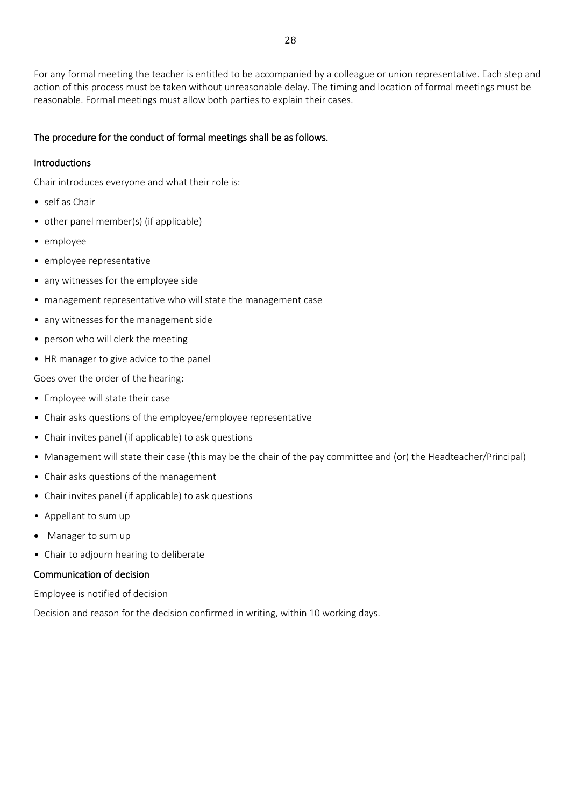For any formal meeting the teacher is entitled to be accompanied by a colleague or union representative. Each step and action of this process must be taken without unreasonable delay. The timing and location of formal meetings must be reasonable. Formal meetings must allow both parties to explain their cases.

#### The procedure for the conduct of formal meetings shall be as follows.

#### Introductions

Chair introduces everyone and what their role is:

- self as Chair
- other panel member(s) (if applicable)
- employee
- employee representative
- any witnesses for the employee side
- management representative who will state the management case
- any witnesses for the management side
- person who will clerk the meeting
- HR manager to give advice to the panel

Goes over the order of the hearing:

- Employee will state their case
- Chair asks questions of the employee/employee representative
- Chair invites panel (if applicable) to ask questions
- Management will state their case (this may be the chair of the pay committee and (or) the Headteacher/Principal)
- Chair asks questions of the management
- Chair invites panel (if applicable) to ask questions
- Appellant to sum up
- Manager to sum up
- Chair to adjourn hearing to deliberate

#### Communication of decision

Employee is notified of decision

Decision and reason for the decision confirmed in writing, within 10 working days.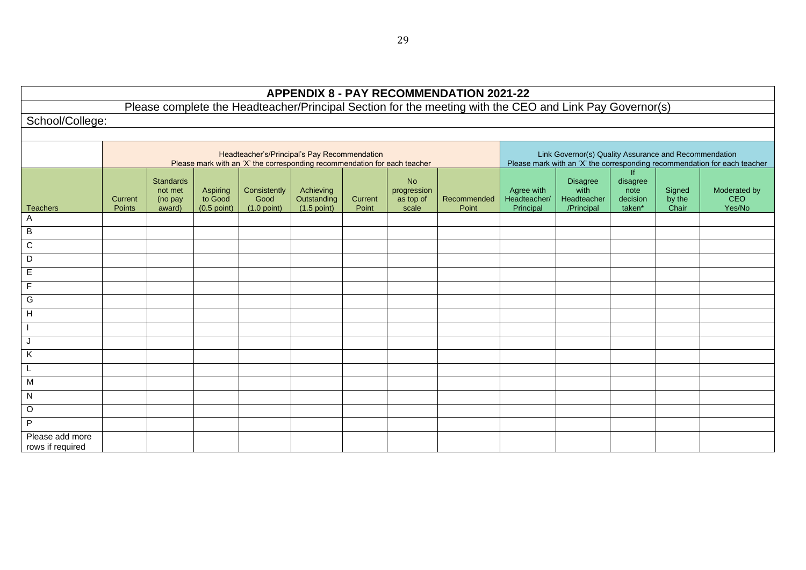| <b>APPENDIX 8 - PAY RECOMMENDATION 2021-22</b>                                                          |                                                                                                                           |                                           |                                      |                                       |                                           |                  |                                                |                      |                                         |                                                                                                                                    |                                              |                           |                                      |  |  |
|---------------------------------------------------------------------------------------------------------|---------------------------------------------------------------------------------------------------------------------------|-------------------------------------------|--------------------------------------|---------------------------------------|-------------------------------------------|------------------|------------------------------------------------|----------------------|-----------------------------------------|------------------------------------------------------------------------------------------------------------------------------------|----------------------------------------------|---------------------------|--------------------------------------|--|--|
| Please complete the Headteacher/Principal Section for the meeting with the CEO and Link Pay Governor(s) |                                                                                                                           |                                           |                                      |                                       |                                           |                  |                                                |                      |                                         |                                                                                                                                    |                                              |                           |                                      |  |  |
| School/College:                                                                                         |                                                                                                                           |                                           |                                      |                                       |                                           |                  |                                                |                      |                                         |                                                                                                                                    |                                              |                           |                                      |  |  |
|                                                                                                         |                                                                                                                           |                                           |                                      |                                       |                                           |                  |                                                |                      |                                         |                                                                                                                                    |                                              |                           |                                      |  |  |
|                                                                                                         | Headteacher's/Principal's Pay Recommendation<br>Please mark with an 'X' the corresponding recommendation for each teacher |                                           |                                      |                                       |                                           |                  |                                                |                      |                                         | Link Governor(s) Quality Assurance and Recommendation<br>Please mark with an 'X' the corresponding recommendation for each teacher |                                              |                           |                                      |  |  |
| Teachers                                                                                                | Current<br><b>Points</b>                                                                                                  | Standards<br>not met<br>(no pay<br>award) | Aspiring<br>to Good<br>$(0.5$ point) | Consistently<br>Good<br>$(1.0$ point) | Achieving<br>Outstanding<br>$(1.5$ point) | Current<br>Point | <b>No</b><br>progression<br>as top of<br>scale | Recommended<br>Point | Agree with<br>Headteacher/<br>Principal | <b>Disagree</b><br>with<br>Headteacher<br>/Principal                                                                               | If<br>disagree<br>note<br>decision<br>taken* | Signed<br>by the<br>Chair | Moderated by<br><b>CEO</b><br>Yes/No |  |  |
| Α                                                                                                       |                                                                                                                           |                                           |                                      |                                       |                                           |                  |                                                |                      |                                         |                                                                                                                                    |                                              |                           |                                      |  |  |
| $\, {\bf B}$                                                                                            |                                                                                                                           |                                           |                                      |                                       |                                           |                  |                                                |                      |                                         |                                                                                                                                    |                                              |                           |                                      |  |  |
| $\overline{C}$                                                                                          |                                                                                                                           |                                           |                                      |                                       |                                           |                  |                                                |                      |                                         |                                                                                                                                    |                                              |                           |                                      |  |  |
| D                                                                                                       |                                                                                                                           |                                           |                                      |                                       |                                           |                  |                                                |                      |                                         |                                                                                                                                    |                                              |                           |                                      |  |  |
| $\mathsf E$                                                                                             |                                                                                                                           |                                           |                                      |                                       |                                           |                  |                                                |                      |                                         |                                                                                                                                    |                                              |                           |                                      |  |  |
| F                                                                                                       |                                                                                                                           |                                           |                                      |                                       |                                           |                  |                                                |                      |                                         |                                                                                                                                    |                                              |                           |                                      |  |  |
| G                                                                                                       |                                                                                                                           |                                           |                                      |                                       |                                           |                  |                                                |                      |                                         |                                                                                                                                    |                                              |                           |                                      |  |  |
| H                                                                                                       |                                                                                                                           |                                           |                                      |                                       |                                           |                  |                                                |                      |                                         |                                                                                                                                    |                                              |                           |                                      |  |  |
|                                                                                                         |                                                                                                                           |                                           |                                      |                                       |                                           |                  |                                                |                      |                                         |                                                                                                                                    |                                              |                           |                                      |  |  |
| J                                                                                                       |                                                                                                                           |                                           |                                      |                                       |                                           |                  |                                                |                      |                                         |                                                                                                                                    |                                              |                           |                                      |  |  |
| $\sf K$                                                                                                 |                                                                                                                           |                                           |                                      |                                       |                                           |                  |                                                |                      |                                         |                                                                                                                                    |                                              |                           |                                      |  |  |
|                                                                                                         |                                                                                                                           |                                           |                                      |                                       |                                           |                  |                                                |                      |                                         |                                                                                                                                    |                                              |                           |                                      |  |  |
| M                                                                                                       |                                                                                                                           |                                           |                                      |                                       |                                           |                  |                                                |                      |                                         |                                                                                                                                    |                                              |                           |                                      |  |  |
| ${\sf N}$                                                                                               |                                                                                                                           |                                           |                                      |                                       |                                           |                  |                                                |                      |                                         |                                                                                                                                    |                                              |                           |                                      |  |  |
| $\mathsf O$                                                                                             |                                                                                                                           |                                           |                                      |                                       |                                           |                  |                                                |                      |                                         |                                                                                                                                    |                                              |                           |                                      |  |  |
| P                                                                                                       |                                                                                                                           |                                           |                                      |                                       |                                           |                  |                                                |                      |                                         |                                                                                                                                    |                                              |                           |                                      |  |  |
| Please add more<br>rows if required                                                                     |                                                                                                                           |                                           |                                      |                                       |                                           |                  |                                                |                      |                                         |                                                                                                                                    |                                              |                           |                                      |  |  |